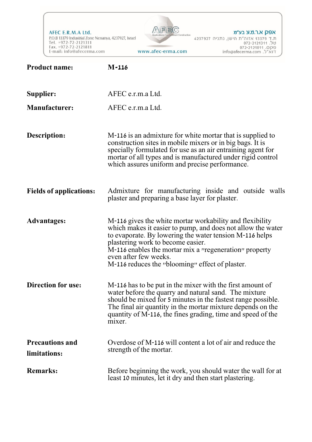AFEC E.R.M.A Ltd. P.O.B 13379 Industrial Zone Nenanya, 4237927, Israel Tel. +972-72-2121311<br>Tel. +972-72-2121311<br>Fax. +972-72-2121811<br>E-mail: info@afecerma.com www.afec-erma.com



אפק א.ר.מ.ע בע״מ 

| <b>Product name:</b>                   | $M-116$                                                                                                                                                                                                                                                                                                                                                              |
|----------------------------------------|----------------------------------------------------------------------------------------------------------------------------------------------------------------------------------------------------------------------------------------------------------------------------------------------------------------------------------------------------------------------|
| Supplier:                              | AFEC e.r.m.a Ltd.                                                                                                                                                                                                                                                                                                                                                    |
| <b>Manufacturer:</b>                   | AFEC e.r.m.a Ltd.                                                                                                                                                                                                                                                                                                                                                    |
| Description:                           | M-116 is an admixture for white mortar that is supplied to<br>construction sites in mobile mixers or in big bags. It is<br>specially formulated for use as an air entraining agent for<br>mortar of all types and is manufactured under rigid control<br>which assures uniform and precise performance.                                                              |
| <b>Fields of applications:</b>         | Admixture for manufacturing inside and outside walls<br>plaster and preparing a base layer for plaster.                                                                                                                                                                                                                                                              |
| <b>Advantages:</b>                     | M-116 gives the white mortar workability and flexibility<br>which makes it easier to pump, and does not allow the water<br>to evaporate. By lowering the water tension M-116 helps<br>plastering work to become easier.<br>M-116 enables the mortar mix a <i>"regeneration"</i> property<br>even after few weeks.<br>M-116 reduces the "blooming" effect of plaster. |
| <b>Direction for use:</b>              | M-116 has to be put in the mixer with the first amount of<br>water before the quarry and natural sand. The mixture<br>should be mixed for 5 minutes in the fastest range possible.<br>The final air quantity in the mortar mixture depends on the<br>quantity of M-116, the fines grading, time and speed of the<br>mixer.                                           |
| <b>Precautions and</b><br>limitations: | Overdose of M-116 will content a lot of air and reduce the<br>strength of the mortar.                                                                                                                                                                                                                                                                                |
| <b>Remarks:</b>                        | Before beginning the work, you should water the wall for at<br>least 10 minutes, let it dry and then start plastering.                                                                                                                                                                                                                                               |